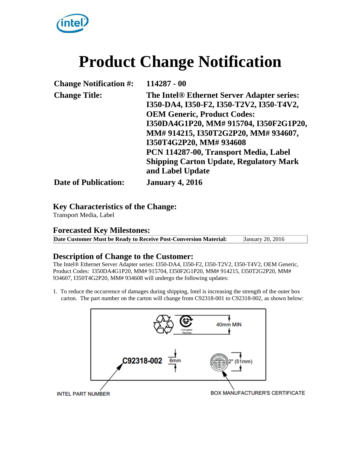

# **Product Change Notification**

| <b>Change Notification #:</b> | 114287 - 00                                    |
|-------------------------------|------------------------------------------------|
| <b>Change Title:</b>          | The Intel® Ethernet Server Adapter series:     |
|                               | I350-DA4, I350-F2, I350-T2V2, I350-T4V2,       |
|                               | <b>OEM Generic, Product Codes:</b>             |
|                               | I350DA4G1P20, MM# 915704, I350F2G1P20,         |
|                               | MM# 914215, I350T2G2P20, MM# 934607,           |
|                               | I350T4G2P20, MM# 934608                        |
|                               | PCN 114287-00, Transport Media, Label          |
|                               | <b>Shipping Carton Update, Regulatory Mark</b> |
|                               | and Label Update                               |
| <b>Date of Publication:</b>   | <b>January 4, 2016</b>                         |

### **Key Characteristics of the Change:**

Transport Media, Label

### **Forecasted Key Milestones:**

**Date Customer Must be Ready to Receive Post-Conversion Material:** January 20, 2016

## **Description of Change to the Customer:**

The Intel® Ethernet Server Adapter series: I350-DA4, I350-F2, I350-T2V2, I350-T4V2, OEM Generic, Product Codes: I350DA4G1P20, MM# 915704, I350F2G1P20, MM# 914215, I350T2G2P20, MM# 934607, I350T4G2P20, MM# 934608 will undergo the following updates:

1. To reduce the occurrence of damages during shipping, Intel is increasing the strength of the outer box carton. The part number on the carton will change from C92318-001 to C92318-002, as shown below:

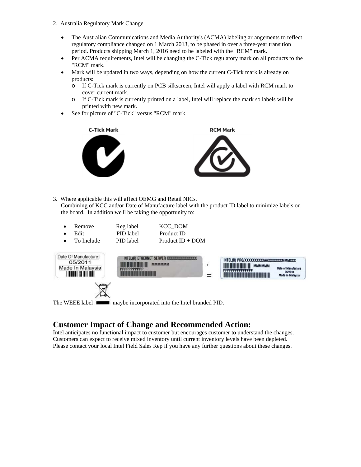- 2. Australia Regulatory Mark Change
	- The Australian Communications and Media Authority's (ACMA) labeling arrangements to reflect regulatory compliance changed on 1 March 2013, to be phased in over a three-year transition period. Products shipping March 1, 2016 need to be labeled with the "RCM" mark.
	- Per ACMA requirements, Intel will be changing the C-Tick regulatory mark on all products to the "RCM" mark.
	- Mark will be updated in two ways, depending on how the current C-Tick mark is already on products:
		- o If C-Tick mark is currently on PCB silkscreen, Intel will apply a label with RCM mark to cover current mark.
		- o If C-Tick mark is currently printed on a label, Intel will replace the mark so labels will be printed with new mark.
	- See for picture of "C-Tick" versus "RCM" mark



3. Where applicable this will affect OEMG and Retail NICs.

Combining of KCC and/or Date of Manufacture label with the product ID label to minimize labels on the board. In addition we'll be taking the opportunity to:

| Remove     | Reg label | KCC DOM            |  |
|------------|-----------|--------------------|--|
| Edit       | PID label | Product ID         |  |
| To Include | PID label | Product $ID + DOM$ |  |
|            |           |                    |  |



## **Customer Impact of Change and Recommended Action:**

Intel anticipates no functional impact to customer but encourages customer to understand the changes. Customers can expect to receive mixed inventory until current inventory levels have been depleted. Please contact your local Intel Field Sales Rep if you have any further questions about these changes.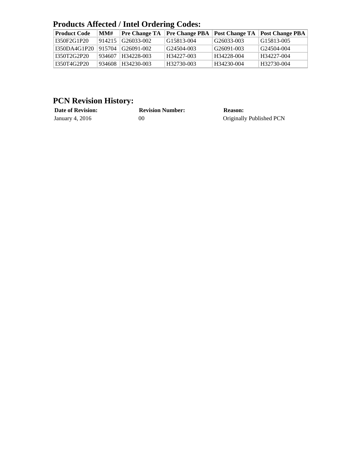# **Products Affected / Intel Ordering Codes:**

| <b>Product Code</b> | MM#      | Pre Change TA       | <b>Pre Change PBA</b> |            | <b>Post Change TA Post Change PBA</b> |
|---------------------|----------|---------------------|-----------------------|------------|---------------------------------------|
| I350F2G1P20         |          | 914215 G26033-002   | G15813-004            | G26033-003 | G15813-005                            |
| 1350DA4G1P20        | ! 915704 | $\sqrt{G26091-002}$ | G24504-003            | G26091-003 | $\mid$ G24504-004                     |
| I350T2G2P20         | 934607   | H34228-003          | H34227-003            | H34228-004 | $H34227-004$                          |
| I350T4G2P20         | 934608   | $H34230-003$        | H32730-003            | H34230-004 | H32730-004                            |

# **PCN Revision History:**

| <b>Date of Revision:</b> | <b>Revision Number:</b> | <b>Reason:</b>           |
|--------------------------|-------------------------|--------------------------|
| January 4, 2016          | 00                      | Originally Published PCN |